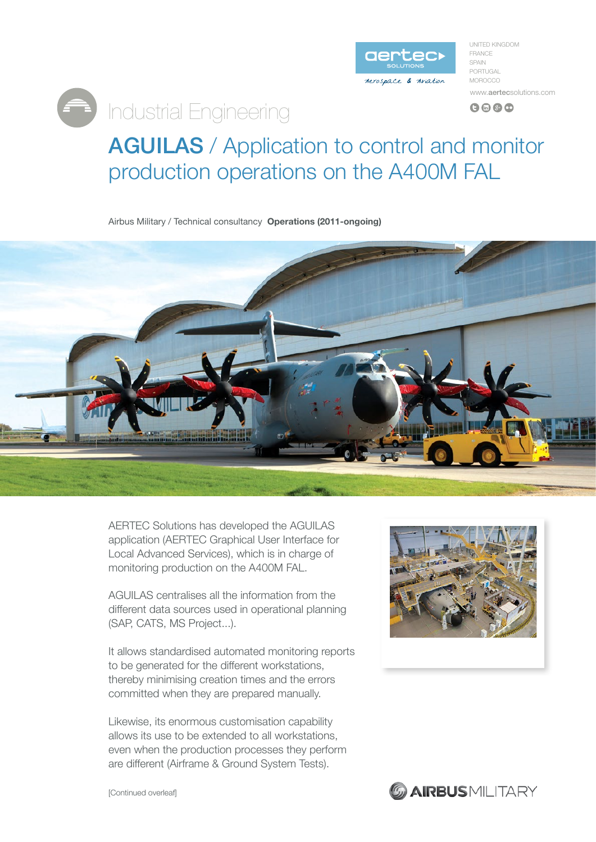

UNITED KINGDOM FRANCE SPAIN PORTUGAL **MOROCCO** www.aertecsolutions.com  $Q \oplus Q$ 

## AGUILAS / Application to control and monitor production operations on the A400M FAL

Airbus Military / Technical consultancy **Operations (2011-ongoing)** 

**Engineering** 



AERTEC Solutions has developed the AGUILAS application (AERTEC Graphical User Interface for Local Advanced Services), which is in charge of monitoring production on the A400M FAL.

AGUILAS centralises all the information from the different data sources used in operational planning (SAP, CATS, MS Project...).

It allows standardised automated monitoring reports to be generated for the different workstations, thereby minimising creation times and the errors committed when they are prepared manually.

Likewise, its enormous customisation capability allows its use to be extended to all workstations. even when the production processes they perform are different (Airframe & Ground System Tests).